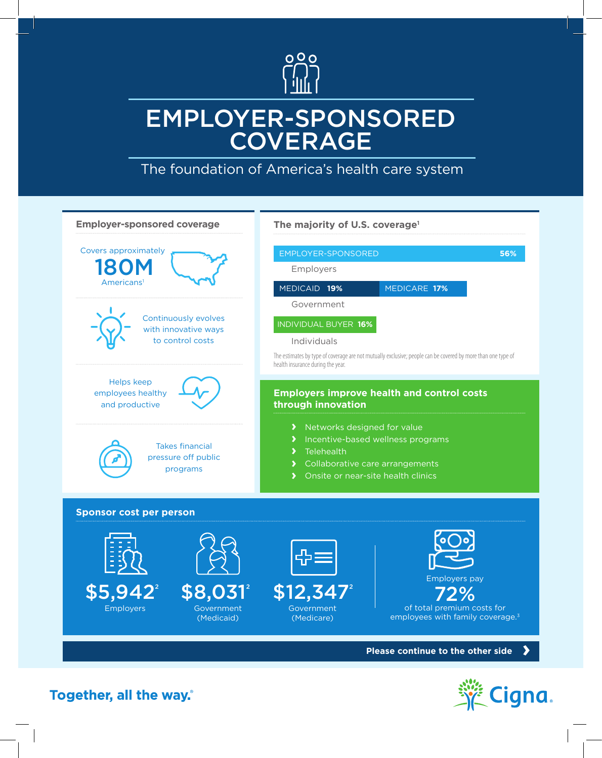

## EMPLOYER-SPONSORED **COVERAGE**

The foundation of America's health care system



Cigna

Together, all the way.